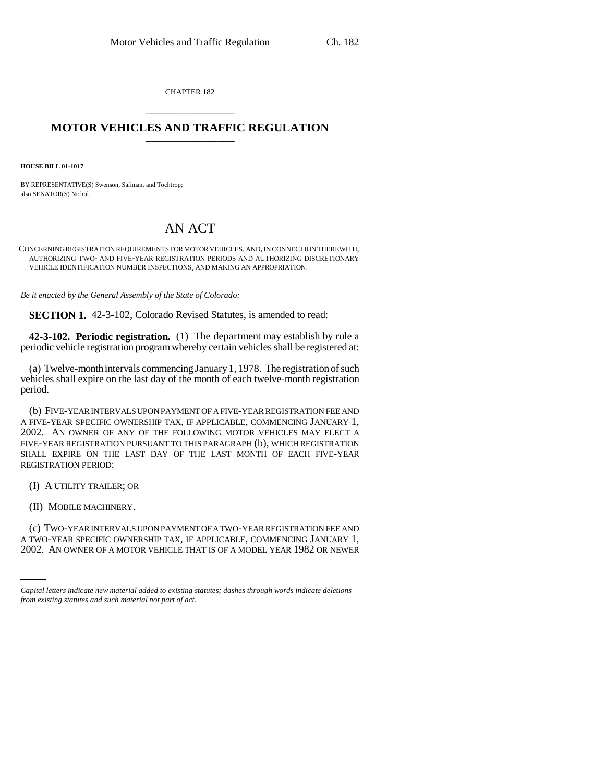CHAPTER 182 \_\_\_\_\_\_\_\_\_\_\_\_\_\_\_

## **MOTOR VEHICLES AND TRAFFIC REGULATION** \_\_\_\_\_\_\_\_\_\_\_\_\_\_\_

**HOUSE BILL 01-1017**

BY REPRESENTATIVE(S) Swenson, Saliman, and Tochtrop; also SENATOR(S) Nichol.

## AN ACT

CONCERNING REGISTRATION REQUIREMENTS FOR MOTOR VEHICLES, AND, IN CONNECTION THEREWITH, AUTHORIZING TWO- AND FIVE-YEAR REGISTRATION PERIODS AND AUTHORIZING DISCRETIONARY VEHICLE IDENTIFICATION NUMBER INSPECTIONS, AND MAKING AN APPROPRIATION.

*Be it enacted by the General Assembly of the State of Colorado:*

**SECTION 1.** 42-3-102, Colorado Revised Statutes, is amended to read:

**42-3-102. Periodic registration.** (1) The department may establish by rule a periodic vehicle registration program whereby certain vehicles shall be registered at:

(a) Twelve-month intervals commencing January 1, 1978. The registration of such vehicles shall expire on the last day of the month of each twelve-month registration period.

(b) FIVE-YEAR INTERVALS UPON PAYMENT OF A FIVE-YEAR REGISTRATION FEE AND A FIVE-YEAR SPECIFIC OWNERSHIP TAX, IF APPLICABLE, COMMENCING JANUARY 1, 2002. AN OWNER OF ANY OF THE FOLLOWING MOTOR VEHICLES MAY ELECT A FIVE-YEAR REGISTRATION PURSUANT TO THIS PARAGRAPH (b), WHICH REGISTRATION SHALL EXPIRE ON THE LAST DAY OF THE LAST MONTH OF EACH FIVE-YEAR REGISTRATION PERIOD:

(I) A UTILITY TRAILER; OR

(II) MOBILE MACHINERY.

(c) TWO-YEAR INTERVALS UPON PAYMENT OF A TWO-YEAR REGISTRATION FEE AND A TWO-YEAR SPECIFIC OWNERSHIP TAX, IF APPLICABLE, COMMENCING JANUARY 1, 2002. AN OWNER OF A MOTOR VEHICLE THAT IS OF A MODEL YEAR 1982 OR NEWER

*Capital letters indicate new material added to existing statutes; dashes through words indicate deletions from existing statutes and such material not part of act.*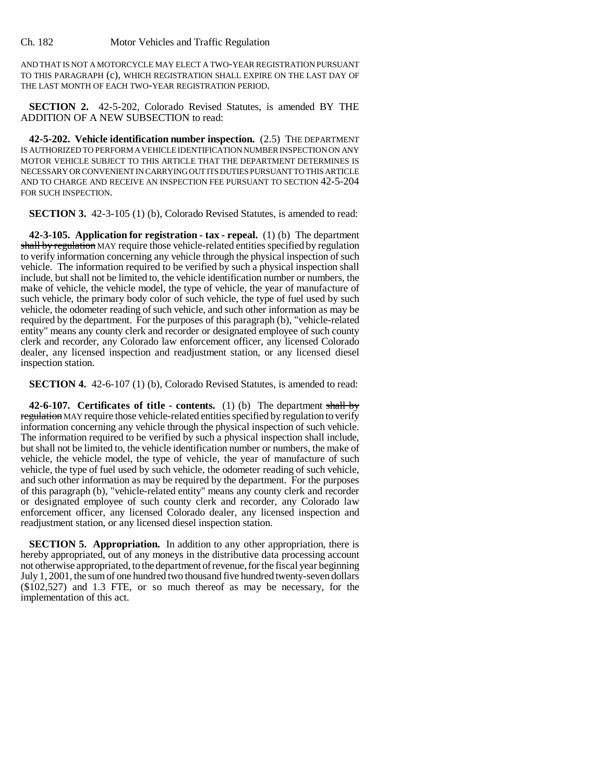Ch. 182 Motor Vehicles and Traffic Regulation

AND THAT IS NOT A MOTORCYCLE MAY ELECT A TWO-YEAR REGISTRATION PURSUANT TO THIS PARAGRAPH (c), WHICH REGISTRATION SHALL EXPIRE ON THE LAST DAY OF THE LAST MONTH OF EACH TWO-YEAR REGISTRATION PERIOD.

**SECTION 2.** 42-5-202, Colorado Revised Statutes, is amended BY THE ADDITION OF A NEW SUBSECTION to read:

**42-5-202. Vehicle identification number inspection.** (2.5) THE DEPARTMENT IS AUTHORIZED TO PERFORM A VEHICLE IDENTIFICATION NUMBER INSPECTION ON ANY MOTOR VEHICLE SUBJECT TO THIS ARTICLE THAT THE DEPARTMENT DETERMINES IS NECESSARY OR CONVENIENT IN CARRYING OUT ITS DUTIES PURSUANT TO THIS ARTICLE AND TO CHARGE AND RECEIVE AN INSPECTION FEE PURSUANT TO SECTION 42-5-204 FOR SUCH INSPECTION.

**SECTION 3.** 42-3-105 (1) (b), Colorado Revised Statutes, is amended to read:

**42-3-105. Application for registration - tax - repeal.** (1) (b) The department shall by regulation MAY require those vehicle-related entities specified by regulation to verify information concerning any vehicle through the physical inspection of such vehicle. The information required to be verified by such a physical inspection shall include, but shall not be limited to, the vehicle identification number or numbers, the make of vehicle, the vehicle model, the type of vehicle, the year of manufacture of such vehicle, the primary body color of such vehicle, the type of fuel used by such vehicle, the odometer reading of such vehicle, and such other information as may be required by the department. For the purposes of this paragraph (b), "vehicle-related entity" means any county clerk and recorder or designated employee of such county clerk and recorder, any Colorado law enforcement officer, any licensed Colorado dealer, any licensed inspection and readjustment station, or any licensed diesel inspection station.

**SECTION 4.** 42-6-107 (1) (b), Colorado Revised Statutes, is amended to read:

**42-6-107. Certificates of title - contents.** (1) (b) The department shall by regulation MAY require those vehicle-related entities specified by regulation to verify information concerning any vehicle through the physical inspection of such vehicle. The information required to be verified by such a physical inspection shall include, but shall not be limited to, the vehicle identification number or numbers, the make of vehicle, the vehicle model, the type of vehicle, the year of manufacture of such vehicle, the type of fuel used by such vehicle, the odometer reading of such vehicle, and such other information as may be required by the department. For the purposes of this paragraph (b), "vehicle-related entity" means any county clerk and recorder or designated employee of such county clerk and recorder, any Colorado law enforcement officer, any licensed Colorado dealer, any licensed inspection and readjustment station, or any licensed diesel inspection station.

**SECTION 5. Appropriation.** In addition to any other appropriation, there is hereby appropriated, out of any moneys in the distributive data processing account not otherwise appropriated, to the department of revenue, for the fiscal year beginning July 1, 2001, the sum of one hundred two thousand five hundred twenty-seven dollars (\$102,527) and 1.3 FTE, or so much thereof as may be necessary, for the implementation of this act.